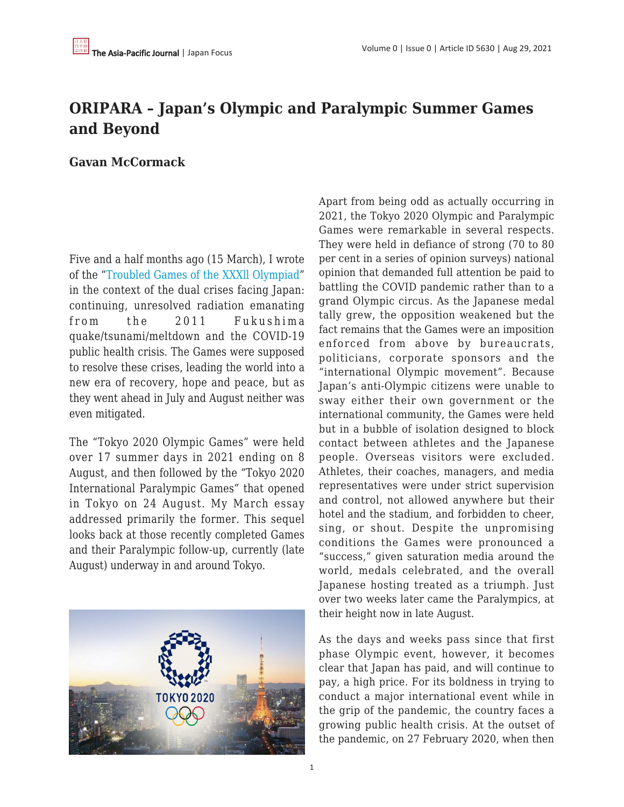## **ORIPARA – Japan's Olympic and Paralympic Summer Games and Beyond**

**Gavan McCormack**

Five and a half months ago (15 March), I wrote of the ["Troubled Games of the XXXll Olympiad](https://apjjf.org/2021/6/McCormack.html)" in the context of the dual crises facing Japan: continuing, unresolved radiation emanating from the 2011 Fukushima quake/tsunami/meltdown and the COVID-19 public health crisis. The Games were supposed to resolve these crises, leading the world into a new era of recovery, hope and peace, but as they went ahead in July and August neither was even mitigated.

The "Tokyo 2020 Olympic Games" were held over 17 summer days in 2021 ending on 8 August, and then followed by the "Tokyo 2020 International Paralympic Games" that opened in Tokyo on 24 August. My March essay addressed primarily the former. This sequel looks back at those recently completed Games and their Paralympic follow-up, currently (late August) underway in and around Tokyo.



Apart from being odd as actually occurring in 2021, the Tokyo 2020 Olympic and Paralympic Games were remarkable in several respects. They were held in defiance of strong (70 to 80 per cent in a series of opinion surveys) national opinion that demanded full attention be paid to battling the COVID pandemic rather than to a grand Olympic circus. As the Japanese medal tally grew, the opposition weakened but the fact remains that the Games were an imposition enforced from above by bureaucrats, politicians, corporate sponsors and the "international Olympic movement". Because Japan's anti-Olympic citizens were unable to sway either their own government or the international community, the Games were held but in a bubble of isolation designed to block contact between athletes and the Japanese people. Overseas visitors were excluded. Athletes, their coaches, managers, and media representatives were under strict supervision and control, not allowed anywhere but their hotel and the stadium, and forbidden to cheer, sing, or shout. Despite the unpromising conditions the Games were pronounced a "success," given saturation media around the world, medals celebrated, and the overall Japanese hosting treated as a triumph. Just over two weeks later came the Paralympics, at their height now in late August.

As the days and weeks pass since that first phase Olympic event, however, it becomes clear that Japan has paid, and will continue to pay, a high price. For its boldness in trying to conduct a major international event while in the grip of the pandemic, the country faces a growing public health crisis. At the outset of the pandemic, on 27 February 2020, when then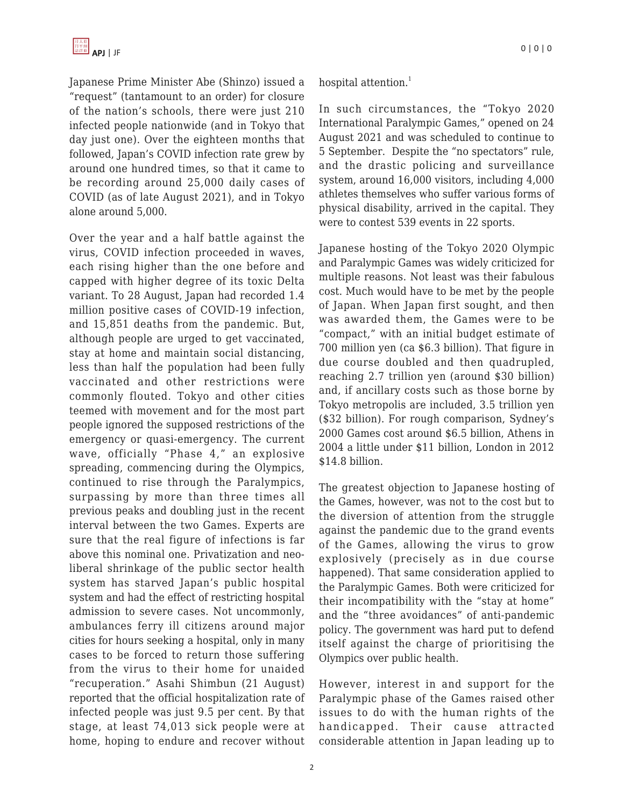Japanese Prime Minister Abe (Shinzo) issued a "request" (tantamount to an order) for closure of the nation's schools, there were just 210 infected people nationwide (and in Tokyo that day just one). Over the eighteen months that followed, Japan's COVID infection rate grew by around one hundred times, so that it came to be recording around 25,000 daily cases of COVID (as of late August 2021), and in Tokyo alone around 5,000.

Over the year and a half battle against the virus, COVID infection proceeded in waves, each rising higher than the one before and capped with higher degree of its toxic Delta variant. To 28 August, Japan had recorded 1.4 million positive cases of COVID-19 infection, and 15,851 deaths from the pandemic. But, although people are urged to get vaccinated, stay at home and maintain social distancing, less than half the population had been fully vaccinated and other restrictions were commonly flouted. Tokyo and other cities teemed with movement and for the most part people ignored the supposed restrictions of the emergency or quasi-emergency. The current wave, officially "Phase 4," an explosive spreading, commencing during the Olympics, continued to rise through the Paralympics, surpassing by more than three times all previous peaks and doubling just in the recent interval between the two Games. Experts are sure that the real figure of infections is far above this nominal one. Privatization and neoliberal shrinkage of the public sector health system has starved Japan's public hospital system and had the effect of restricting hospital admission to severe cases. Not uncommonly, ambulances ferry ill citizens around major cities for hours seeking a hospital, only in many cases to be forced to return those suffering from the virus to their home for unaided "recuperation." Asahi Shimbun (21 August) reported that the official hospitalization rate of infected people was just 9.5 per cent. By that stage, at least 74,013 sick people were at home, hoping to endure and recover without hospital attention.<sup>1</sup>

In such circumstances, the "Tokyo 2020 International Paralympic Games," opened on 24 August 2021 and was scheduled to continue to 5 September. Despite the "no spectators" rule, and the drastic policing and surveillance system, around 16,000 visitors, including 4,000 athletes themselves who suffer various forms of physical disability, arrived in the capital. They were to contest 539 events in 22 sports.

Japanese hosting of the Tokyo 2020 Olympic and Paralympic Games was widely criticized for multiple reasons. Not least was their fabulous cost. Much would have to be met by the people of Japan. When Japan first sought, and then was awarded them, the Games were to be "compact," with an initial budget estimate of 700 million yen (ca \$6.3 billion). That figure in due course doubled and then quadrupled, reaching 2.7 trillion yen (around \$30 billion) and, if ancillary costs such as those borne by Tokyo metropolis are included, 3.5 trillion yen (\$32 billion). For rough comparison, Sydney's 2000 Games cost around \$6.5 billion, Athens in 2004 a little under \$11 billion, London in 2012 \$14.8 billion.

The greatest objection to Japanese hosting of the Games, however, was not to the cost but to the diversion of attention from the struggle against the pandemic due to the grand events of the Games, allowing the virus to grow explosively (precisely as in due course happened). That same consideration applied to the Paralympic Games. Both were criticized for their incompatibility with the "stay at home" and the "three avoidances" of anti-pandemic policy. The government was hard put to defend itself against the charge of prioritising the Olympics over public health.

However, interest in and support for the Paralympic phase of the Games raised other issues to do with the human rights of the handicapped. Their cause attracted considerable attention in Japan leading up to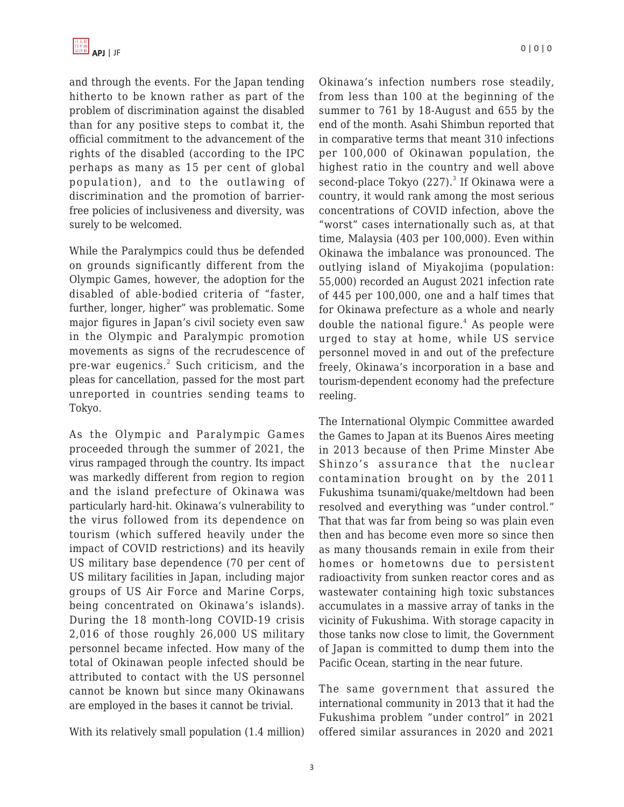and through the events. For the Japan tending hitherto to be known rather as part of the problem of discrimination against the disabled than for any positive steps to combat it, the official commitment to the advancement of the rights of the disabled (according to the IPC perhaps as many as 15 per cent of global population), and to the outlawing of discrimination and the promotion of barrierfree policies of inclusiveness and diversity, was surely to be welcomed.

While the Paralympics could thus be defended on grounds significantly different from the Olympic Games, however, the adoption for the disabled of able-bodied criteria of "faster, further, longer, higher" was problematic. Some major figures in Japan's civil society even saw in the Olympic and Paralympic promotion movements as signs of the recrudescence of pre-war eugenics.<sup>2</sup> Such criticism, and the pleas for cancellation, passed for the most part unreported in countries sending teams to Tokyo.

As the Olympic and Paralympic Games proceeded through the summer of 2021, the virus rampaged through the country. Its impact was markedly different from region to region and the island prefecture of Okinawa was particularly hard-hit. Okinawa's vulnerability to the virus followed from its dependence on tourism (which suffered heavily under the impact of COVID restrictions) and its heavily US military base dependence (70 per cent of US military facilities in Japan, including major groups of US Air Force and Marine Corps, being concentrated on Okinawa's islands). During the 18 month-long COVID-19 crisis 2,016 of those roughly 26,000 US military personnel became infected. How many of the total of Okinawan people infected should be attributed to contact with the US personnel cannot be known but since many Okinawans are employed in the bases it cannot be trivial.

With its relatively small population (1.4 million)

Okinawa's infection numbers rose steadily, from less than 100 at the beginning of the summer to 761 by 18-August and 655 by the end of the month. Asahi Shimbun reported that in comparative terms that meant 310 infections per 100,000 of Okinawan population, the highest ratio in the country and well above second-place Tokyo  $(227).<sup>3</sup>$  If Okinawa were a country, it would rank among the most serious concentrations of COVID infection, above the "worst" cases internationally such as, at that time, Malaysia (403 per 100,000). Even within Okinawa the imbalance was pronounced. The outlying island of Miyakojima (population: 55,000) recorded an August 2021 infection rate of 445 per 100,000, one and a half times that for Okinawa prefecture as a whole and nearly double the national figure.<sup>4</sup> As people were urged to stay at home, while US service personnel moved in and out of the prefecture freely, Okinawa's incorporation in a base and tourism-dependent economy had the prefecture reeling.

The International Olympic Committee awarded the Games to Japan at its Buenos Aires meeting in 2013 because of then Prime Minster Abe Shinzo's assurance that the nuclear contamination brought on by the 2011 Fukushima tsunami/quake/meltdown had been resolved and everything was "under control." That that was far from being so was plain even then and has become even more so since then as many thousands remain in exile from their homes or hometowns due to persistent radioactivity from sunken reactor cores and as wastewater containing high toxic substances accumulates in a massive array of tanks in the vicinity of Fukushima. With storage capacity in those tanks now close to limit, the Government of Japan is committed to dump them into the Pacific Ocean, starting in the near future.

The same government that assured the international community in 2013 that it had the Fukushima problem "under control" in 2021 offered similar assurances in 2020 and 2021